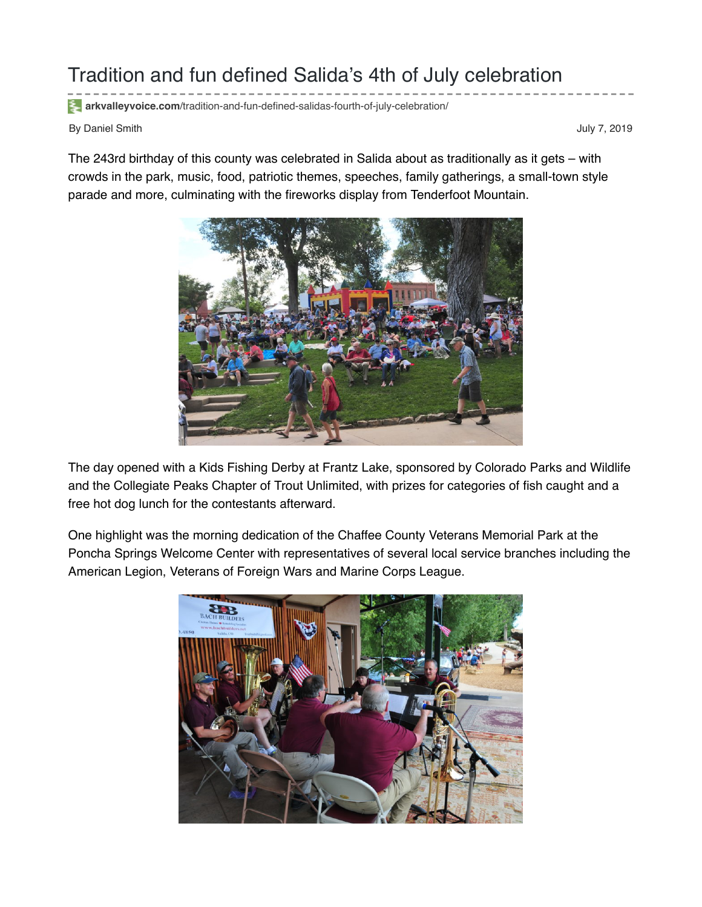## Tradition and fun defined Salida's 4th of July celebration

**arkvalleyvoice.com**[/tradition-and-fun-defined-salidas-fourth-of-july-celebration/](https://arkvalleyvoice.com/tradition-and-fun-defined-salidas-fourth-of-july-celebration/)

By Daniel Smith July 7, 2019

The 243rd birthday of this county was celebrated in Salida about as traditionally as it gets – with crowds in the park, music, food, patriotic themes, speeches, family gatherings, a small-town style parade and more, culminating with the fireworks display from Tenderfoot Mountain.



The day opened with a Kids Fishing Derby at Frantz Lake, sponsored by Colorado Parks and Wildlife and the Collegiate Peaks Chapter of Trout Unlimited, with prizes for categories of fish caught and a free hot dog lunch for the contestants afterward.

One highlight was the morning dedication of the Chaffee County Veterans Memorial Park at the Poncha Springs Welcome Center with representatives of several local service branches including the American Legion, Veterans of Foreign Wars and Marine Corps League.

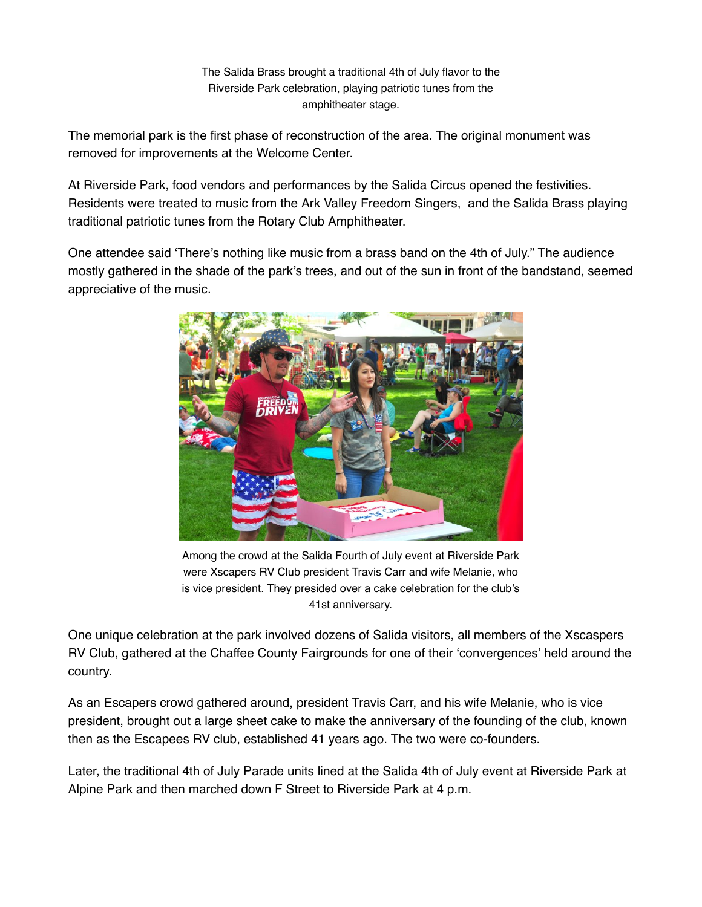The Salida Brass brought a traditional 4th of July flavor to the Riverside Park celebration, playing patriotic tunes from the amphitheater stage.

The memorial park is the first phase of reconstruction of the area. The original monument was removed for improvements at the Welcome Center.

At Riverside Park, food vendors and performances by the Salida Circus opened the festivities. Residents were treated to music from the Ark Valley Freedom Singers, and the Salida Brass playing traditional patriotic tunes from the Rotary Club Amphitheater.

One attendee said 'There's nothing like music from a brass band on the 4th of July." The audience mostly gathered in the shade of the park's trees, and out of the sun in front of the bandstand, seemed appreciative of the music.



Among the crowd at the Salida Fourth of July event at Riverside Park were Xscapers RV Club president Travis Carr and wife Melanie, who is vice president. They presided over a cake celebration for the club's 41st anniversary.

One unique celebration at the park involved dozens of Salida visitors, all members of the Xscaspers RV Club, gathered at the Chaffee County Fairgrounds for one of their 'convergences' held around the country.

As an Escapers crowd gathered around, president Travis Carr, and his wife Melanie, who is vice president, brought out a large sheet cake to make the anniversary of the founding of the club, known then as the Escapees RV club, established 41 years ago. The two were co-founders.

Later, the traditional 4th of July Parade units lined at the Salida 4th of July event at Riverside Park at Alpine Park and then marched down F Street to Riverside Park at 4 p.m.